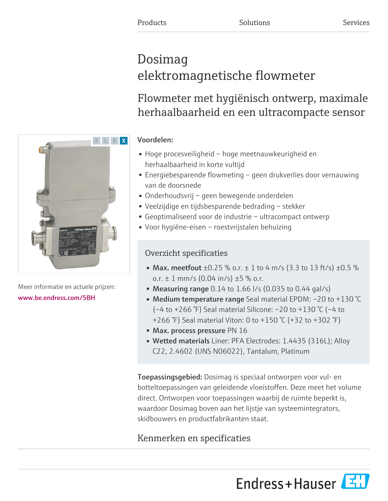# Dosimag elektromagnetische flowmeter

# Flowmeter met hygiënisch ontwerp, maximale herhaalbaarheid en een ultracompacte sensor

# Voordelen:

- Hoge procesveiligheid hoge meetnauwkeurigheid en herhaalbaarheid in korte vultijd
- Energiebesparende flowmeting geen drukverlies door vernauwing van de doorsnede
- Onderhoudsvrij geen bewegende onderdelen
- Veelzijdige en tijdsbesparende bedrading stekker
- Geoptimaliseerd voor de industrie ultracompact ontwerp
- Voor hygiëne-eisen roestvrijstalen behuizing

# Overzicht specificaties

- Max. meetfout  $\pm 0.25$  % o.r.  $\pm 1$  to 4 m/s (3.3 to 13 ft/s)  $\pm 0.5$  % o.r.  $\pm$  1 mm/s (0.04 in/s)  $\pm$ 5 % o.r.
- Measuring range  $0.14$  to  $1.66$  I/s (0.035 to 0.44 gal/s)
- Medium temperature range Seal material EPDM: –20 to +130 °C (–4 to +266 °F) Seal material Silicone: –20 to +130 °C (–4 to +266 °F) Seal material Viton: 0 to +150 °C (+32 to +302 °F)
- Max. process pressure PN 16
- Wetted materials Liner: PFA Electrodes: 1.4435 (316L); Alloy C22, 2.4602 (UNS N06022), Tantalum, Platinum

Toepassingsgebied: Dosimag is speciaal ontworpen voor vul- en botteltoepassingen van geleidende vloeistoffen. Deze meet het volume direct. Ontworpen voor toepassingen waarbij de ruimte beperkt is, waardoor Dosimag boven aan het lijstje van systeemintegrators, skidbouwers en productfabrikanten staat.

# Kenmerken en specificaties





Meer informatie en actuele prijzen: [www.be.endress.com/5BH](https://www.be.endress.com/5BH)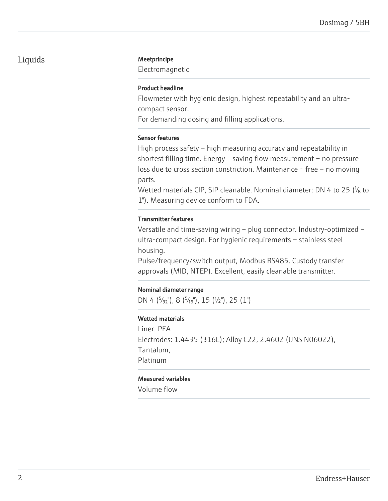# Liquids Meetprincipe

Electromagnetic

### Product headline

Flowmeter with hygienic design, highest repeatability and an ultracompact sensor.

For demanding dosing and filling applications.

#### Sensor features

High process safety – high measuring accuracy and repeatability in shortest filling time. Energy - saving flow measurement – no pressure loss due to cross section constriction. Maintenance - free - no moving parts.

Wetted materials CIP, SIP cleanable. Nominal diameter: DN 4 to 25  $\frac{1}{6}$  to 1"). Measuring device conform to FDA.

#### Transmitter features

Versatile and time-saving wiring – plug connector. Industry-optimized – ultra-compact design. For hygienic requirements – stainless steel housing.

Pulse/frequency/switch output, Modbus RS485. Custody transfer approvals (MID, NTEP). Excellent, easily cleanable transmitter.

# Nominal diameter range

DN 4  $({}^{5}/_{32}$ "), 8  $({}^{5}/_{16}$ "), 15  $({}^{1}/_{2}$ "), 25  $(1$ ")

# Wetted materials

Liner: PFA Electrodes: 1.4435 (316L); Alloy C22, 2.4602 (UNS N06022), Tantalum, Platinum

# Measured variables

Volume flow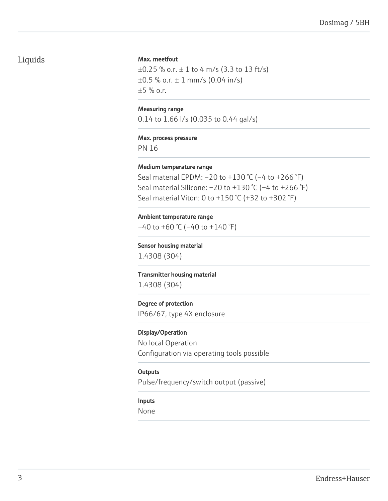# Liquids

#### Max. meetfout

 $\pm 0.25$  % o.r.  $\pm 1$  to 4 m/s (3.3 to 13 ft/s)  $\pm 0.5$  % o.r.  $\pm 1$  mm/s (0.04 in/s)  $±5$  % o.r.

#### Measuring range

0.14 to 1.66 l/s (0.035 to 0.44 gal/s)

#### Max. process pressure

PN 16

#### Medium temperature range

Seal material EPDM: –20 to +130 °C (–4 to +266 °F) Seal material Silicone:  $-20$  to  $+130$  °C ( $-4$  to  $+266$  °F) Seal material Viton: 0 to +150  $°C$  (+32 to +302  $°F$ )

#### Ambient temperature range

 $-40$  to  $+60$  °C ( $-40$  to  $+140$  °F)

Sensor housing material

1.4308 (304)

# Transmitter housing material 1.4308 (304)

#### Degree of protection

IP66/67, type 4X enclosure

#### Display/Operation

No local Operation Configuration via operating tools possible

#### **Outputs**

Pulse/frequency/switch output (passive)

#### Inputs

None